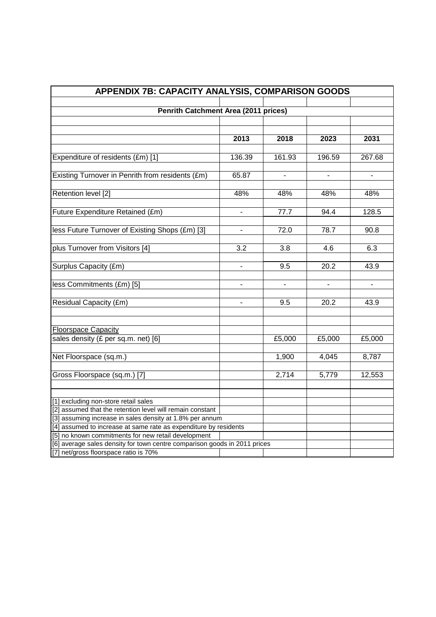| APPENDIX 7B: CAPACITY ANALYSIS, COMPARISON GOODS                                                                                 |                |                |                          |                          |  |
|----------------------------------------------------------------------------------------------------------------------------------|----------------|----------------|--------------------------|--------------------------|--|
|                                                                                                                                  |                |                |                          |                          |  |
| Penrith Catchment Area (2011 prices)                                                                                             |                |                |                          |                          |  |
|                                                                                                                                  |                |                |                          |                          |  |
|                                                                                                                                  |                |                |                          |                          |  |
|                                                                                                                                  | 2013           | 2018           | 2023                     | 2031                     |  |
|                                                                                                                                  |                |                |                          |                          |  |
| Expenditure of residents (£m) [1]                                                                                                | 136.39         | 161.93         | 196.59                   | 267.68                   |  |
|                                                                                                                                  |                |                |                          |                          |  |
| Existing Turnover in Penrith from residents (£m)                                                                                 | 65.87          | $\blacksquare$ | $\blacksquare$           | $\overline{\phantom{a}}$ |  |
|                                                                                                                                  |                |                |                          |                          |  |
| Retention level [2]                                                                                                              | 48%            | 48%            | 48%                      | 48%                      |  |
|                                                                                                                                  |                |                |                          |                          |  |
| Future Expenditure Retained (£m)                                                                                                 |                | 77.7           | 94.4                     | 128.5                    |  |
|                                                                                                                                  |                | 72.0           | 78.7                     | 90.8                     |  |
| less Future Turnover of Existing Shops (£m) [3]                                                                                  |                |                |                          |                          |  |
| plus Turnover from Visitors [4]                                                                                                  | 3.2            | 3.8            | 4.6                      | 6.3                      |  |
|                                                                                                                                  |                |                |                          |                          |  |
| Surplus Capacity (£m)                                                                                                            | ÷.             | 9.5            | 20.2                     | 43.9                     |  |
|                                                                                                                                  |                |                |                          |                          |  |
| less Commitments (£m) [5]                                                                                                        | $\blacksquare$ | $\overline{a}$ | $\overline{\phantom{a}}$ | $\overline{\phantom{a}}$ |  |
|                                                                                                                                  |                |                |                          |                          |  |
| Residual Capacity (£m)                                                                                                           |                | 9.5            | 20.2                     | 43.9                     |  |
|                                                                                                                                  |                |                |                          |                          |  |
|                                                                                                                                  |                |                |                          |                          |  |
| <b>Floorspace Capacity</b>                                                                                                       |                |                |                          |                          |  |
| sales density (£ per sq.m. net) [6]                                                                                              |                | £5,000         | £5,000                   | £5,000                   |  |
|                                                                                                                                  |                |                |                          |                          |  |
| Net Floorspace (sq.m.)                                                                                                           |                | 1,900          | 4,045                    | 8,787                    |  |
|                                                                                                                                  |                |                |                          |                          |  |
| Gross Floorspace (sq.m.) [7]                                                                                                     |                | 2,714          | 5,779                    | 12,553                   |  |
|                                                                                                                                  |                |                |                          |                          |  |
|                                                                                                                                  |                |                |                          |                          |  |
| [1] excluding non-store retail sales                                                                                             |                |                |                          |                          |  |
| [2] assumed that the retention level will remain constant                                                                        |                |                |                          |                          |  |
| [3] assuming increase in sales density at 1.8% per annum                                                                         |                |                |                          |                          |  |
| [4] assumed to increase at same rate as expenditure by residents                                                                 |                |                |                          |                          |  |
| [5] no known commitments for new retail development<br>[6] average sales density for town centre comparison goods in 2011 prices |                |                |                          |                          |  |
| [7] net/gross floorspace ratio is 70%                                                                                            |                |                |                          |                          |  |
|                                                                                                                                  |                |                |                          |                          |  |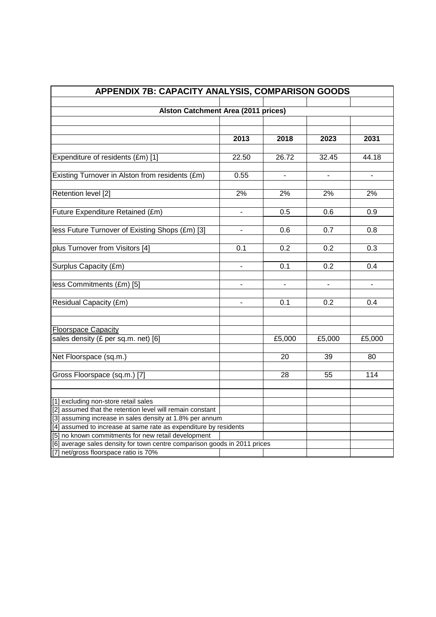| APPENDIX 7B: CAPACITY ANALYSIS, COMPARISON GOODS                          |                          |                |                          |                          |  |
|---------------------------------------------------------------------------|--------------------------|----------------|--------------------------|--------------------------|--|
| <b>Alston Catchment Area (2011 prices)</b>                                |                          |                |                          |                          |  |
|                                                                           |                          |                |                          |                          |  |
|                                                                           |                          |                |                          |                          |  |
|                                                                           | 2013                     | 2018           | 2023                     | 2031                     |  |
|                                                                           |                          |                |                          |                          |  |
| Expenditure of residents (£m) [1]                                         | 22.50                    | 26.72          | 32.45                    | 44.18                    |  |
| Existing Turnover in Alston from residents (£m)                           | 0.55                     | $\blacksquare$ | $\blacksquare$           | $\overline{\phantom{a}}$ |  |
|                                                                           |                          |                |                          |                          |  |
| Retention level [2]                                                       | 2%                       | 2%             | 2%                       | 2%                       |  |
| Future Expenditure Retained (£m)                                          |                          | 0.5            | 0.6                      | 0.9                      |  |
| less Future Turnover of Existing Shops (£m) [3]                           | -                        | 0.6            | 0.7                      | 0.8                      |  |
|                                                                           |                          |                |                          |                          |  |
| plus Turnover from Visitors [4]                                           | 0.1                      | 0.2            | 0.2                      | 0.3                      |  |
| Surplus Capacity (£m)                                                     | $\blacksquare$           | 0.1            | 0.2                      | 0.4                      |  |
|                                                                           |                          |                |                          |                          |  |
| less Commitments (£m) [5]                                                 | $\overline{\phantom{a}}$ | $\overline{a}$ | $\overline{\phantom{a}}$ | $\overline{\phantom{0}}$ |  |
|                                                                           |                          |                |                          |                          |  |
| Residual Capacity (£m)                                                    |                          | 0.1            | 0.2                      | 0.4                      |  |
| <b>Floorspace Capacity</b>                                                |                          |                |                          |                          |  |
| sales density (£ per sq.m. net) [6]                                       |                          | £5,000         | £5,000                   | £5,000                   |  |
|                                                                           |                          |                |                          |                          |  |
| Net Floorspace (sq.m.)                                                    |                          | 20             | 39                       | 80                       |  |
| Gross Floorspace (sq.m.) [7]                                              |                          | 28             | 55                       | 114                      |  |
|                                                                           |                          |                |                          |                          |  |
| [1] excluding non-store retail sales                                      |                          |                |                          |                          |  |
| [2] assumed that the retention level will remain constant                 |                          |                |                          |                          |  |
| [3] assuming increase in sales density at 1.8% per annum                  |                          |                |                          |                          |  |
| [4] assumed to increase at same rate as expenditure by residents          |                          |                |                          |                          |  |
| [5] no known commitments for new retail development                       |                          |                |                          |                          |  |
| [6] average sales density for town centre comparison goods in 2011 prices |                          |                |                          |                          |  |
| [7] net/gross floorspace ratio is 70%                                     |                          |                |                          |                          |  |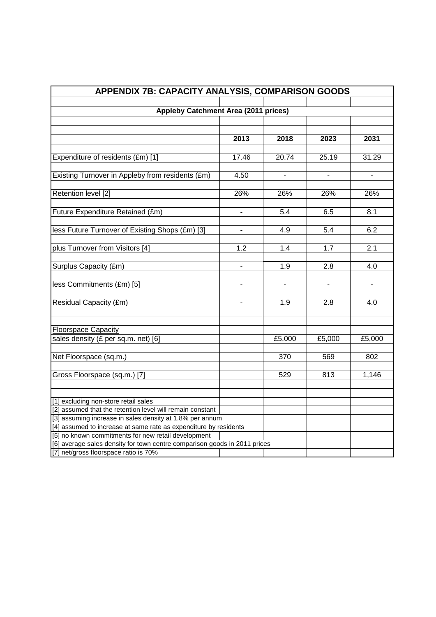| APPENDIX 7B: CAPACITY ANALYSIS, COMPARISON GOODS                          |                |                          |                          |                |  |
|---------------------------------------------------------------------------|----------------|--------------------------|--------------------------|----------------|--|
|                                                                           |                |                          |                          |                |  |
| <b>Appleby Catchment Area (2011 prices)</b>                               |                |                          |                          |                |  |
|                                                                           |                |                          |                          |                |  |
|                                                                           |                |                          |                          |                |  |
|                                                                           | 2013           | 2018                     | 2023                     | 2031           |  |
|                                                                           |                |                          |                          |                |  |
| Expenditure of residents (£m) [1]                                         | 17.46          | 20.74                    | 25.19                    | 31.29          |  |
|                                                                           | 4.50           |                          |                          |                |  |
| Existing Turnover in Appleby from residents (£m)                          |                | $\blacksquare$           | $\blacksquare$           | $\blacksquare$ |  |
| Retention level [2]                                                       | 26%            | 26%                      | 26%                      | 26%            |  |
|                                                                           |                |                          |                          |                |  |
| Future Expenditure Retained (£m)                                          |                | 5.4                      | 6.5                      | 8.1            |  |
|                                                                           |                |                          |                          |                |  |
| less Future Turnover of Existing Shops (£m) [3]                           | -              | 4.9                      | 5.4                      | 6.2            |  |
|                                                                           |                |                          |                          |                |  |
| plus Turnover from Visitors [4]                                           | 1.2            | 1.4                      | 1.7                      | 2.1            |  |
|                                                                           |                |                          |                          |                |  |
| Surplus Capacity (£m)                                                     | ÷.             | 1.9                      | 2.8                      | 4.0            |  |
|                                                                           |                |                          |                          |                |  |
| less Commitments (£m) [5]                                                 | $\overline{a}$ | $\overline{\phantom{a}}$ | $\overline{\phantom{a}}$ | $\overline{a}$ |  |
|                                                                           |                |                          |                          |                |  |
| Residual Capacity (£m)                                                    |                | 1.9                      | 2.8                      | 4.0            |  |
|                                                                           |                |                          |                          |                |  |
|                                                                           |                |                          |                          |                |  |
| <b>Floorspace Capacity</b>                                                |                |                          |                          |                |  |
| sales density (£ per sq.m. net) [6]                                       |                | £5,000                   | £5,000                   | £5,000         |  |
|                                                                           |                |                          |                          |                |  |
| Net Floorspace (sq.m.)                                                    |                | 370                      | 569                      | 802            |  |
|                                                                           |                |                          |                          |                |  |
| Gross Floorspace (sq.m.) [7]                                              |                | 529                      | 813                      | 1,146          |  |
|                                                                           |                |                          |                          |                |  |
| [1] excluding non-store retail sales                                      |                |                          |                          |                |  |
| [2] assumed that the retention level will remain constant                 |                |                          |                          |                |  |
| [3] assuming increase in sales density at 1.8% per annum                  |                |                          |                          |                |  |
| [4] assumed to increase at same rate as expenditure by residents          |                |                          |                          |                |  |
| [5] no known commitments for new retail development                       |                |                          |                          |                |  |
| [6] average sales density for town centre comparison goods in 2011 prices |                |                          |                          |                |  |
| [7] net/gross floorspace ratio is 70%                                     |                |                          |                          |                |  |